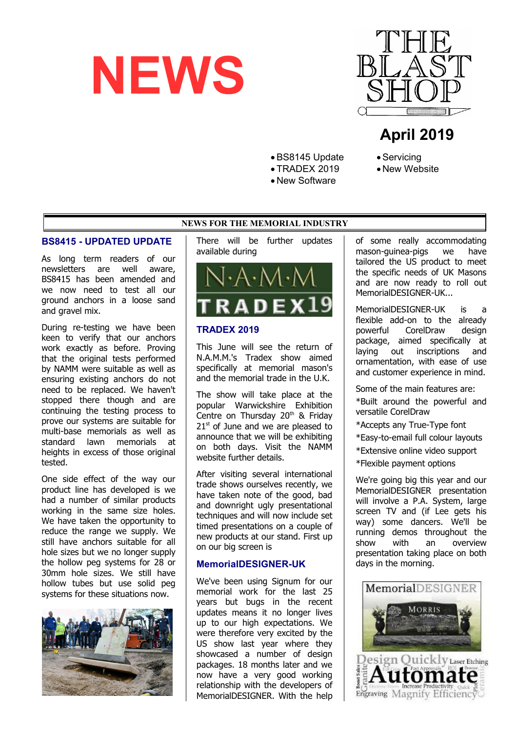



# **April 2019**

BS8145 Update

- TRADEX 2019
- New Software
- Servicing
- New Website

### **NEWS FOR THE MEMORIAL INDUSTRY**

#### **BS8415 - UPDATED UPDATE**

As long term readers of our newsletters are well aware, BS8415 has been amended and we now need to test all our ground anchors in a loose sand and gravel mix.

During re-testing we have been keen to verify that our anchors work exactly as before. Proving that the original tests performed by NAMM were suitable as well as ensuring existing anchors do not need to be replaced. We haven't stopped there though and are continuing the testing process to prove our systems are suitable for multi-base memorials as well as standard lawn memorials at heights in excess of those original tested.

One side effect of the way our product line has developed is we had a number of similar products working in the same size holes. We have taken the opportunity to reduce the range we supply. We still have anchors suitable for all hole sizes but we no longer supply the hollow peg systems for 28 or 30mm hole sizes. We still have hollow tubes but use solid peg systems for these situations now.



There will be further updates available during



### **TRADEX 2019**

This June will see the return of N.A.M.M.'s Tradex show aimed specifically at memorial mason's and the memorial trade in the U.K.

The show will take place at the popular Warwickshire Exhibition Centre on Thursday  $20<sup>th</sup>$  & Friday  $21<sup>st</sup>$  of June and we are pleased to announce that we will be exhibiting on both days. Visit the NAMM website further details.

After visiting several international trade shows ourselves recently, we have taken note of the good, bad and downright ugly presentational techniques and will now include set timed presentations on a couple of new products at our stand. First up on our big screen is

#### **MemorialDESIGNER-UK**

We've been using Signum for our memorial work for the last 25 years but bugs in the recent updates means it no longer lives up to our high expectations. We were therefore very excited by the US show last year where they showcased a number of design packages. 18 months later and we now have a very good working relationship with the developers of MemorialDESIGNER. With the help

of some really accommodating mason-guinea-pigs we have tailored the US product to meet the specific needs of UK Masons and are now ready to roll out MemorialDESIGNER-UK...

MemorialDESIGNER-UK is a flexible add-on to the already powerful CorelDraw design package, aimed specifically at laying out inscriptions and ornamentation, with ease of use and customer experience in mind.

Some of the main features are:

\*Built around the powerful and versatile CorelDraw

- \*Accepts any True-Type font
- \*Easy-to-email full colour layouts
- \*Extensive online video support
- \*Flexible payment options

We're going big this year and our MemorialDESIGNER presentation will involve a P.A. System, large screen TV and (if Lee gets his way) some dancers. We'll be running demos throughout the show with an overview presentation taking place on both days in the morning.